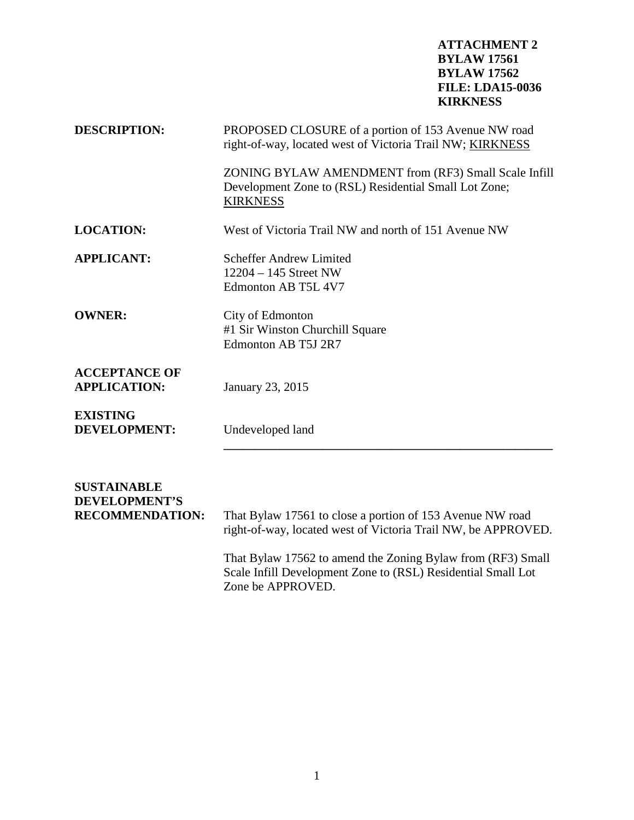## **ATTACHMENT 2 BYLAW 17561 BYLAW 17562 FILE: LDA15-0036 KIRKNESS**

| <b>DESCRIPTION:</b>                         | PROPOSED CLOSURE of a portion of 153 Avenue NW road<br>right-of-way, located west of Victoria Trail NW; KIRKNESS                 |
|---------------------------------------------|----------------------------------------------------------------------------------------------------------------------------------|
|                                             | ZONING BYLAW AMENDMENT from (RF3) Small Scale Infill<br>Development Zone to (RSL) Residential Small Lot Zone;<br><b>KIRKNESS</b> |
| <b>LOCATION:</b>                            | West of Victoria Trail NW and north of 151 Avenue NW                                                                             |
| <b>APPLICANT:</b>                           | <b>Scheffer Andrew Limited</b><br>$12204 - 145$ Street NW<br>Edmonton AB T5L 4V7                                                 |
| <b>OWNER:</b>                               | City of Edmonton<br>#1 Sir Winston Churchill Square<br>Edmonton AB T5J 2R7                                                       |
| <b>ACCEPTANCE OF</b><br><b>APPLICATION:</b> | January 23, 2015                                                                                                                 |
| <b>EXISTING</b><br><b>DEVELOPMENT:</b>      | Undeveloped land                                                                                                                 |
| <b>SUSTAINABLE</b><br>DEVEL ADMENTIC        |                                                                                                                                  |

**DEVELOPMENT'S RECOMMENDATION:** That Bylaw 17561 to close a portion of 153 Avenue NW road right-of-way, located west of Victoria Trail NW, be APPROVED. That Bylaw 17562 to amend the Zoning Bylaw from (RF3) Small Scale Infill Development Zone to (RSL) Residential Small Lot Zone be APPROVED.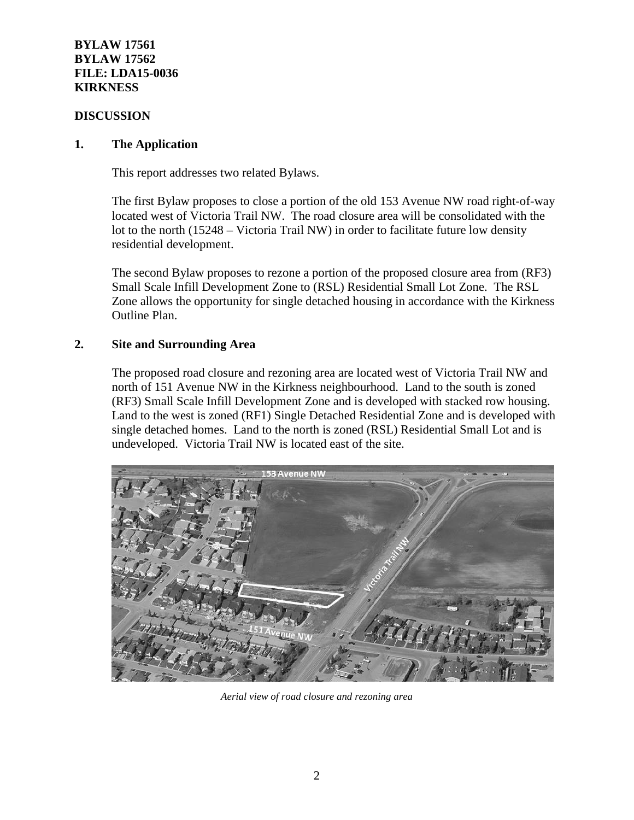## **BYLAW 17561 BYLAW 17562 FILE: LDA15-0036 KIRKNESS**

## **DISCUSSION**

## **1. The Application**

This report addresses two related Bylaws.

The first Bylaw proposes to close a portion of the old 153 Avenue NW road right-of-way located west of Victoria Trail NW. The road closure area will be consolidated with the lot to the north (15248 – Victoria Trail NW) in order to facilitate future low density residential development.

The second Bylaw proposes to rezone a portion of the proposed closure area from (RF3) Small Scale Infill Development Zone to (RSL) Residential Small Lot Zone. The RSL Zone allows the opportunity for single detached housing in accordance with the Kirkness Outline Plan.

## **2. Site and Surrounding Area**

The proposed road closure and rezoning area are located west of Victoria Trail NW and north of 151 Avenue NW in the Kirkness neighbourhood. Land to the south is zoned (RF3) Small Scale Infill Development Zone and is developed with stacked row housing. Land to the west is zoned (RF1) Single Detached Residential Zone and is developed with single detached homes. Land to the north is zoned (RSL) Residential Small Lot and is undeveloped. Victoria Trail NW is located east of the site.



*Aerial view of road closure and rezoning area*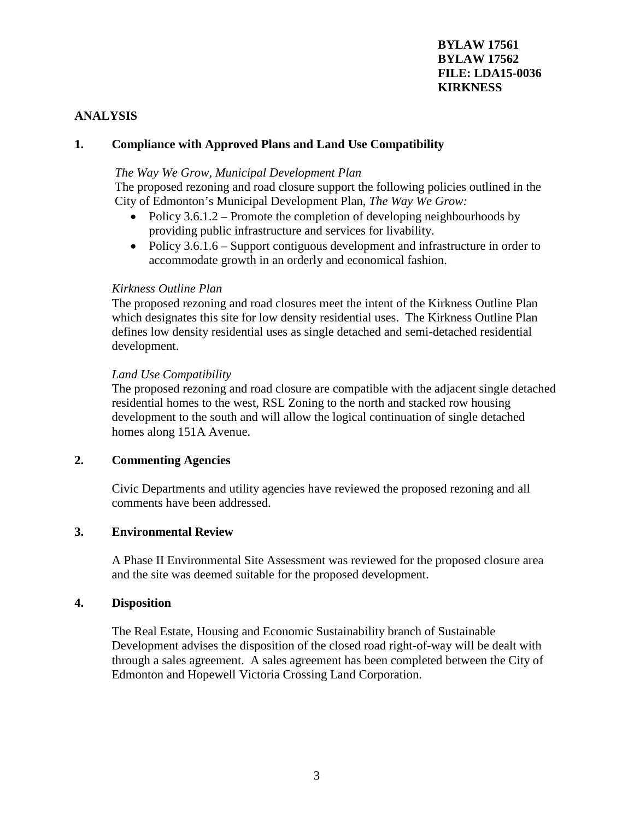## **ANALYSIS**

## **1. Compliance with Approved Plans and Land Use Compatibility**

#### *The Way We Grow, Municipal Development Plan*

The proposed rezoning and road closure support the following policies outlined in the City of Edmonton's Municipal Development Plan, *The Way We Grow:*

- Policy  $3.6.1.2$  Promote the completion of developing neighbourhoods by providing public infrastructure and services for livability.
- Policy 3.6.1.6 Support contiguous development and infrastructure in order to accommodate growth in an orderly and economical fashion.

#### *Kirkness Outline Plan*

The proposed rezoning and road closures meet the intent of the Kirkness Outline Plan which designates this site for low density residential uses. The Kirkness Outline Plan defines low density residential uses as single detached and semi-detached residential development.

#### *Land Use Compatibility*

The proposed rezoning and road closure are compatible with the adjacent single detached residential homes to the west, RSL Zoning to the north and stacked row housing development to the south and will allow the logical continuation of single detached homes along 151A Avenue.

### **2. Commenting Agencies**

Civic Departments and utility agencies have reviewed the proposed rezoning and all comments have been addressed.

### **3. Environmental Review**

A Phase II Environmental Site Assessment was reviewed for the proposed closure area and the site was deemed suitable for the proposed development.

#### **4. Disposition**

The Real Estate, Housing and Economic Sustainability branch of Sustainable Development advises the disposition of the closed road right-of-way will be dealt with through a sales agreement. A sales agreement has been completed between the City of Edmonton and Hopewell Victoria Crossing Land Corporation.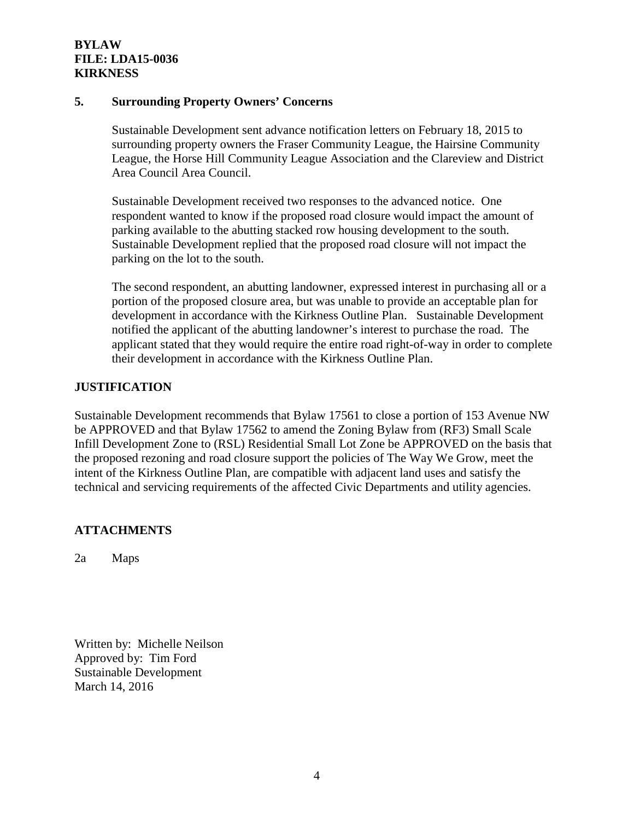## **BYLAW FILE: LDA15-0036 KIRKNESS**

#### **5. Surrounding Property Owners' Concerns**

Sustainable Development sent advance notification letters on February 18, 2015 to surrounding property owners the Fraser Community League, the Hairsine Community League, the Horse Hill Community League Association and the Clareview and District Area Council Area Council.

Sustainable Development received two responses to the advanced notice. One respondent wanted to know if the proposed road closure would impact the amount of parking available to the abutting stacked row housing development to the south. Sustainable Development replied that the proposed road closure will not impact the parking on the lot to the south.

The second respondent, an abutting landowner, expressed interest in purchasing all or a portion of the proposed closure area, but was unable to provide an acceptable plan for development in accordance with the Kirkness Outline Plan. Sustainable Development notified the applicant of the abutting landowner's interest to purchase the road. The applicant stated that they would require the entire road right-of-way in order to complete their development in accordance with the Kirkness Outline Plan.

### **JUSTIFICATION**

Sustainable Development recommends that Bylaw 17561 to close a portion of 153 Avenue NW be APPROVED and that Bylaw 17562 to amend the Zoning Bylaw from (RF3) Small Scale Infill Development Zone to (RSL) Residential Small Lot Zone be APPROVED on the basis that the proposed rezoning and road closure support the policies of The Way We Grow, meet the intent of the Kirkness Outline Plan, are compatible with adjacent land uses and satisfy the technical and servicing requirements of the affected Civic Departments and utility agencies.

## **ATTACHMENTS**

2a Maps

Written by: Michelle Neilson Approved by: Tim Ford Sustainable Development March 14, 2016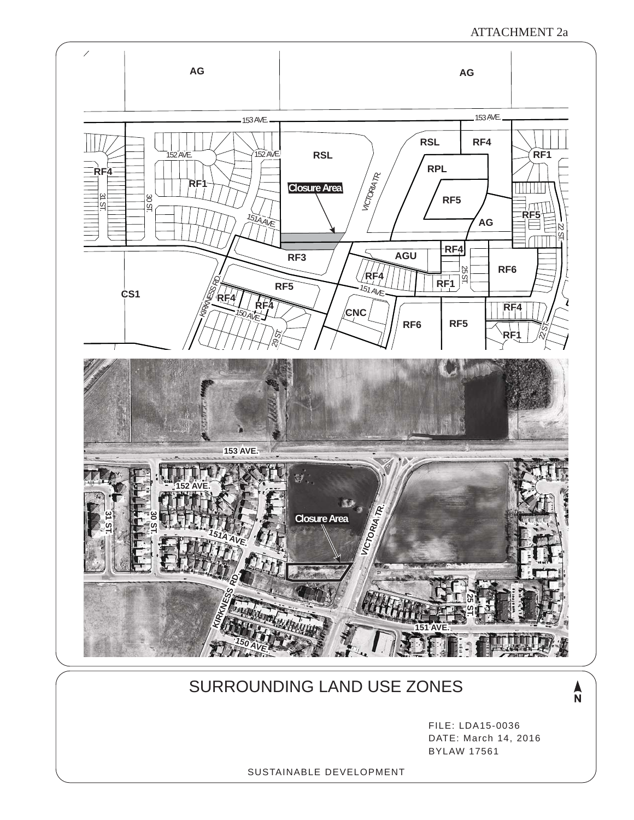ATTACHMENT 2a



## SURROUNDING LAND USE ZONES

 $\frac{\lambda}{N}$ 

FILE: LDA15-0036 DATE: March 14, 2016 BYLAW 17561

SUSTAINABLE DEVELOPMENT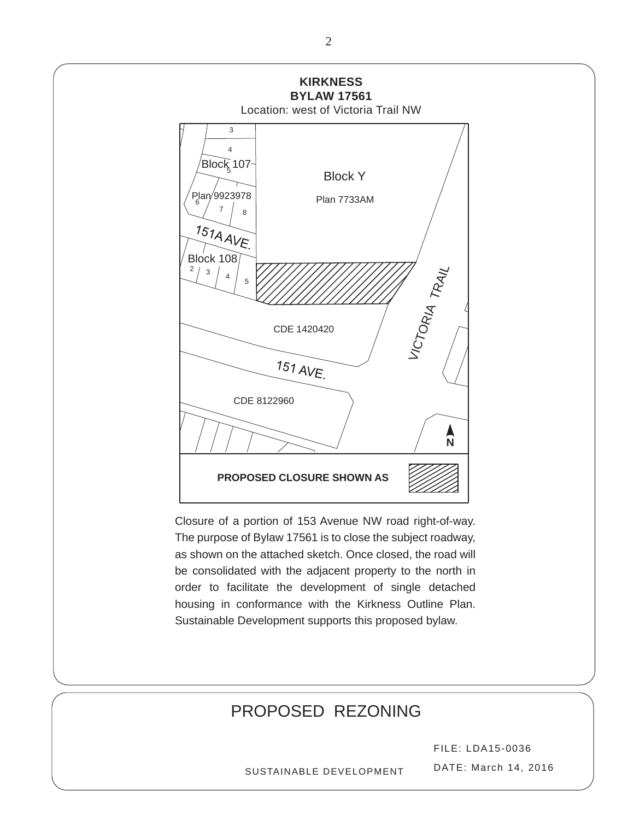

# PROPOSED REZONING

FILE: LDA15-0036 DATE: March 14, 2016

SUSTAINABLE DEVELOPMENT

2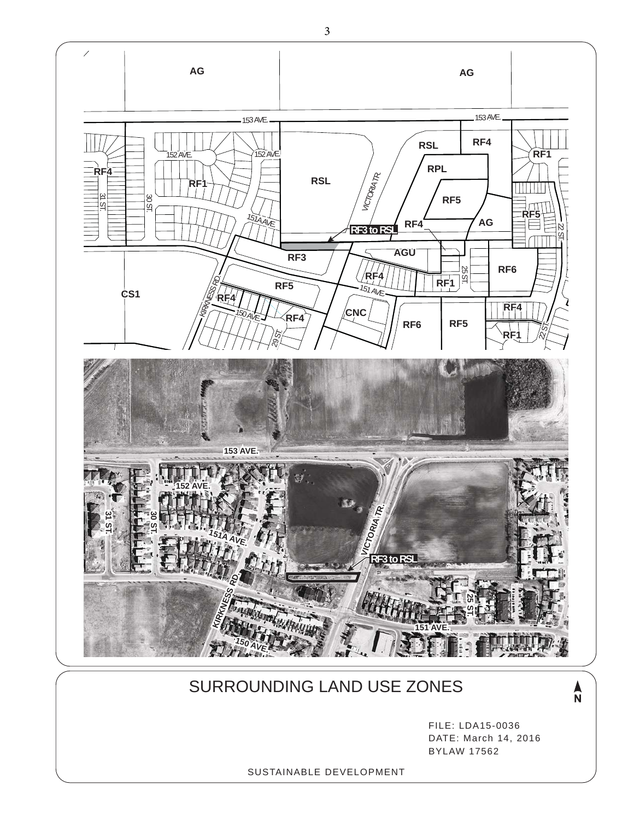

## SURROUNDING LAND USE ZONES

 $\frac{\lambda}{N}$ 

FILE: LDA15-0036 DATE: March 14, 2016 BYLAW 17562

SUSTAINABLE DEVELOPMENT

3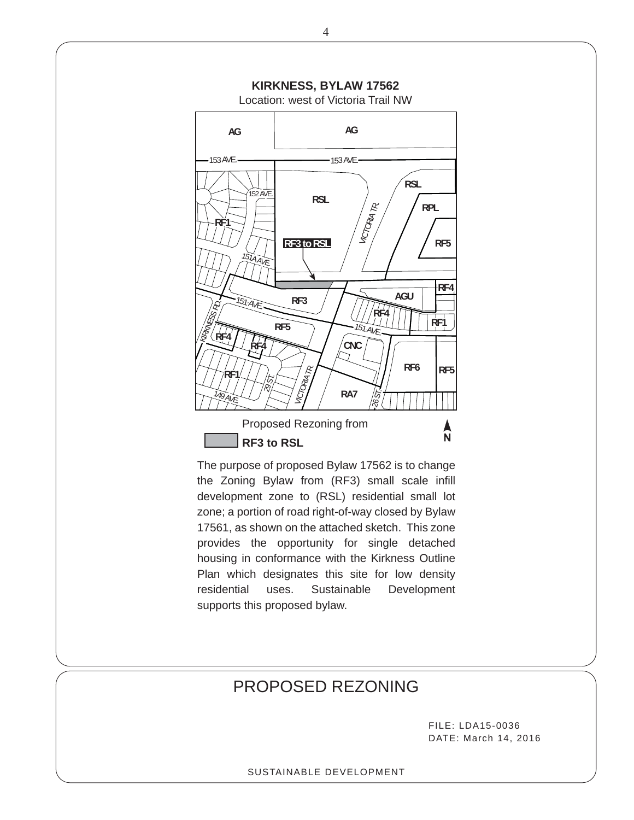

The purpose of proposed Bylaw 17562 is to change the Zoning Bylaw from (RF3) small scale infill development zone to (RSL) residential small lot zone; a portion of road right-of-way closed by Bylaw 17561, as shown on the attached sketch. This zone provides the opportunity for single detached housing in conformance with the Kirkness Outline Plan which designates this site for low density residential uses. Sustainable Development supports this proposed bylaw.

## PROPOSED REZONING

FILE: LDA15-0036 DATE: March 14, 2016

#### SUSTAINABLE DEVELOPMENT